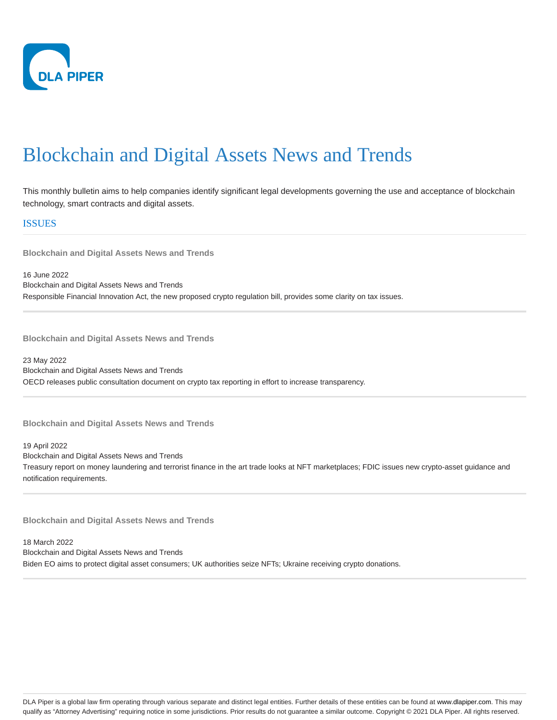

This monthly bulletin aims to help companies identify significant legal developments governing the use and acceptance of blockchain technology, smart contracts and digital assets.

ISSUES

**Blockchain and Digital Assets News and Trends**

16 June 2022 Blockchain and Digital Assets News and Trends Responsible Financial Innovation Act, the new proposed crypto regulation bill, provides some clarity on tax issues.

**Blockchain and Digital Assets News and Trends**

23 May 2022 Blockchain and Digital Assets News and Trends OECD releases public consultation document on crypto tax reporting in effort to increase transparency.

**Blockchain and Digital Assets News and Trends**

19 April 2022 Blockchain and Digital Assets News and Trends Treasury report on money laundering and terrorist finance in the art trade looks at NFT marketplaces; FDIC issues new crypto-asset guidance and notification requirements.

**Blockchain and Digital Assets News and Trends**

18 March 2022 Blockchain and Digital Assets News and Trends Biden EO aims to protect digital asset consumers; UK authorities seize NFTs; Ukraine receiving crypto donations.

DLA Piper is a global law firm operating through various separate and distinct legal entities. Further details of these entities can be found at www.dlapiper.com. This may qualify as "Attorney Advertising" requiring notice in some jurisdictions. Prior results do not guarantee a similar outcome. Copyright @ 2021 DLA Piper. All rights reserved.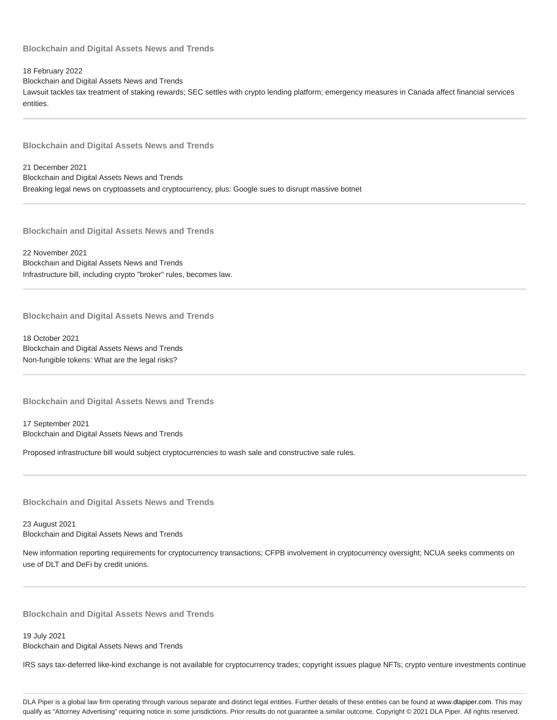18 February 2022

Blockchain and Digital Assets News and Trends

Lawsuit tackles tax treatment of staking rewards; SEC settles with crypto lending platform; emergency measures in Canada affect financial services entities.

**Blockchain and Digital Assets News and Trends**

21 December 2021 Blockchain and Digital Assets News and Trends Breaking legal news on cryptoassets and cryptocurrency, plus: Google sues to disrupt massive botnet

**Blockchain and Digital Assets News and Trends**

22 November 2021 Blockchain and Digital Assets News and Trends Infrastructure bill, including crypto "broker" rules, becomes law.

**Blockchain and Digital Assets News and Trends**

18 October 2021 Blockchain and Digital Assets News and Trends Non-fungible tokens: What are the legal risks?

**Blockchain and Digital Assets News and Trends**

17 September 2021 Blockchain and Digital Assets News and Trends

Proposed infrastructure bill would subject cryptocurrencies to wash sale and constructive sale rules.

**Blockchain and Digital Assets News and Trends**

23 August 2021 Blockchain and Digital Assets News and Trends

New information reporting requirements for cryptocurrency transactions; CFPB involvement in cryptocurrency oversight; NCUA seeks comments on use of DLT and DeFi by credit unions.

**Blockchain and Digital Assets News and Trends**

19 July 2021 Blockchain and Digital Assets News and Trends

IRS says tax-deferred like-kind exchange is not available for cryptocurrency trades; copyright issues plague NFTs; crypto venture investments continue

DLA Piper is a global law firm operating through various separate and distinct legal entities. Further details of these entities can be found at www.dlapiper.com. This may qualify as "Attorney Advertising" requiring notice in some jurisdictions. Prior results do not guarantee a similar outcome. Copyright @ 2021 DLA Piper. All rights reserved.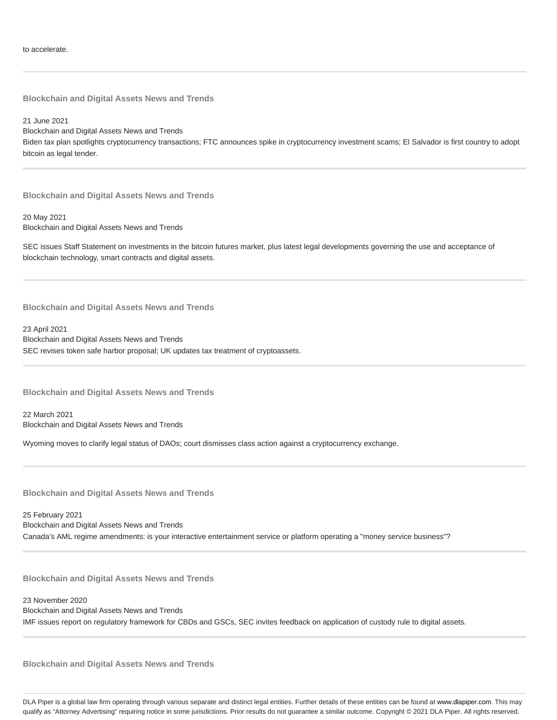21 June 2021 Blockchain and Digital Assets News and Trends Biden tax plan spotlights cryptocurrency transactions; FTC announces spike in cryptocurrency investment scams; El Salvador is first country to adopt bitcoin as legal tender.

**Blockchain and Digital Assets News and Trends**

20 May 2021 Blockchain and Digital Assets News and Trends

SEC issues Staff Statement on investments in the bitcoin futures market, plus latest legal developments governing the use and acceptance of blockchain technology, smart contracts and digital assets.

**Blockchain and Digital Assets News and Trends**

23 April 2021 Blockchain and Digital Assets News and Trends SEC revises token safe harbor proposal; UK updates tax treatment of cryptoassets.

**Blockchain and Digital Assets News and Trends**

22 March 2021 Blockchain and Digital Assets News and Trends

Wyoming moves to clarify legal status of DAOs; court dismisses class action against a cryptocurrency exchange.

**Blockchain and Digital Assets News and Trends**

25 February 2021 Blockchain and Digital Assets News and Trends Canada's AML regime amendments: is your interactive entertainment service or platform operating a "money service business"?

**Blockchain and Digital Assets News and Trends**

23 November 2020 Blockchain and Digital Assets News and Trends IMF issues report on regulatory framework for CBDs and GSCs, SEC invites feedback on application of custody rule to digital assets.

**Blockchain and Digital Assets News and Trends**

DLA Piper is a global law firm operating through various separate and distinct legal entities. Further details of these entities can be found at www.dlapiper.com. This may qualify as "Attorney Advertising" requiring notice in some jurisdictions. Prior results do not guarantee a similar outcome. Copyright @ 2021 DLA Piper. All rights reserved.